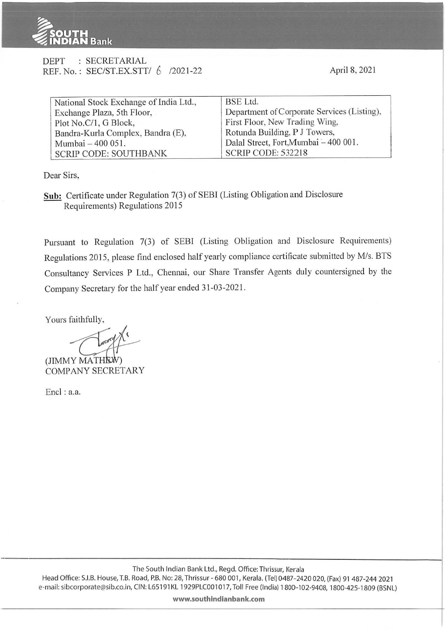

| <b>DEPT</b> | : SECRETARIAL                       |  |
|-------------|-------------------------------------|--|
|             | REF. No.: SEC/ST.EX.STT/ 6 /2021-22 |  |

April 8, 2021

| National Stock Exchange of India Ltd., | BSE Ltd.                                    |  |  |
|----------------------------------------|---------------------------------------------|--|--|
| Exchange Plaza, 5th Floor,             | Department of Corporate Services (Listing), |  |  |
| Plot No.C/1, G Block,                  | First Floor, New Trading Wing,              |  |  |
| Bandra-Kurla Complex, Bandra (E),      | Rotunda Building, P J Towers,               |  |  |
| Mumbai - 400 051.                      | Dalal Street, Fort, Mumbai - 400 001.       |  |  |
| <b>SCRIP CODE: SOUTHBANK</b>           | <b>SCRIP CODE: 532218</b>                   |  |  |

Dear Sirs,

**Sub:** Certificate under Regulation 7(3) of SEBI (Listing Obligation and Disclosure Requirements) Regulations 2015

Pursuant to Regulation 7(3) of SEBI (Listing Obligation and Disclosure Requirements) Regulations 2015, please find enclosed half yearly compliance certificate submitted by M/s. BTS Consultancy Services P Ltd., Chennai, our Share Transfer Agents duly countersigned by the Company Secretary for the half year ended 31-03-202 1.

Yours faithfully,

 $(JIMMY MATH<sub>EM</sub>)$ COMPANY SECRETARY

Encl : a.a.

**www.southindianbank.com**